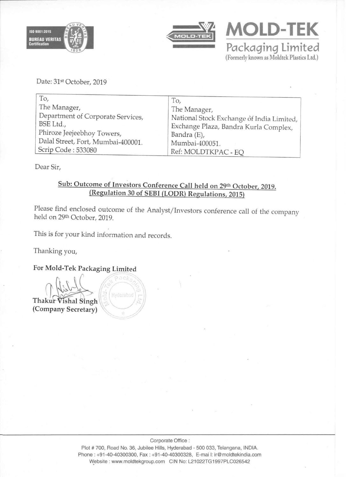



**MOLD-TEK**<br>Packaging Limited (Formerly known as Moldtek Plastics Ltd.)

Date: 31st October, 2019

| To,                                | To,                                       |
|------------------------------------|-------------------------------------------|
| The Manager,                       | The Manager,                              |
| Department of Corporate Services,  | National Stock Exchange of India Limited, |
| BSE Ltd.,                          | Exchange Plaza, Bandra Kurla Complex,     |
| Phiroze Jeejeebhoy Towers,         | Bandra (E),                               |
| Dalal Street, Fort, Mumbai-400001. | Mumbai-400051.                            |
| Scrip Code: 533080                 | Ref: MOLDTKPAC - EQ                       |

Dear Sir,

# Sub: Outcome of Investors Conference Call held on 29th October, 2019. (Regulation 30 of SEBI (LODR) Regulations, 2015)

Please find enclosed outcome of the Analyst/Investors conference call of the company held on 29th October, 2019.

This is for your kind information and records.

Thanking you,

For Mold·Tek Packaging Limited

Thakur Vishal Singh<br>(Company Secretary)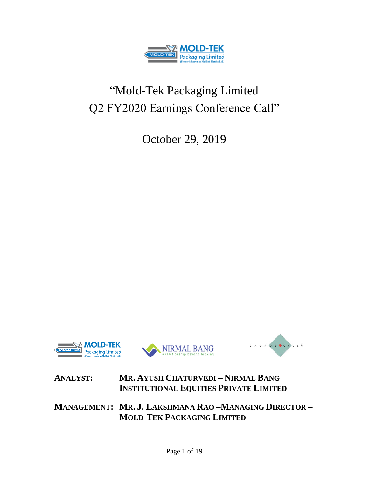

# "Mold-Tek Packaging Limited Q2 FY2020 Earnings Conference Call"

October 29, 2019







# **ANALYST: MR. AYUSH CHATURVEDI – NIRMAL BANG INSTITUTIONAL EQUITIES PRIVATE LIMITED**

**MANAGEMENT: MR. J. LAKSHMANA RAO –MANAGING DIRECTOR – MOLD-TEK PACKAGING LIMITED**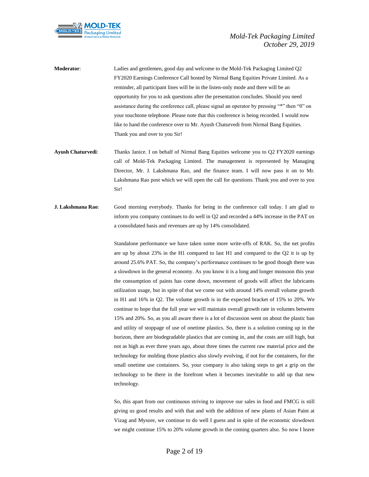

**Moderator**: Ladies and gentlemen, good day and welcome to the Mold-Tek Packaging Limited Q2 FY2020 Earnings Conference Call hosted by Nirmal Bang Equities Private Limited. As a reminder, all participant lines will be in the listen-only mode and there will be an opportunity for you to ask questions after the presentation concludes. Should you need assistance during the conference call, please signal an operator by pressing "\*" then "0" on your touchtone telephone. Please note that this conference is being recorded. I would now like to hand the conference over to Mr. Ayush Chaturvedi from Nirmal Bang Equities. Thank you and over to you Sir!

- **Ayush Chaturvedi**: Thanks Janice. I on behalf of Nirmal Bang Equities welcome you to Q2 FY2020 earnings call of Mold-Tek Packaging Limited. The management is represented by Managing Director, Mr. J. Lakshmana Rao, and the finance team. I will now pass it on to Mr. Lakshmana Rao post which we will open the call for questions. Thank you and over to you Sir!
- **J. Lakshmana Rao**: Good morning everybody. Thanks for being in the conference call today. I am glad to inform you company continues to do well in Q2 and recorded a 44% increase in the PAT on a consolidated basis and revenues are up by 14% consolidated.

Standalone performance we have taken some more write-offs of RAK. So, the net profits are up by about 23% in the H1 compared to last H1 and compared to the Q2 it is up by around 25.6% PAT. So, the company's performance continues to be good though there was a slowdown in the general economy. As you know it is a long and longer monsoon this year the consumption of paints has come down, movement of goods will affect the lubricants utilization usage, but in spite of that we come out with around 14% overall volume growth in H1 and 16% in Q2. The volume growth is in the expected bracket of 15% to 20%. We continue to hope that the full year we will maintain overall growth rate in volumes between 15% and 20%. So, as you all aware there is a lot of discussion went on about the plastic ban and utility of stoppage of use of onetime plastics. So, there is a solution coming up in the horizon, there are biodegradable plastics that are coming in, and the costs are still high, but not as high as ever three years ago, about three times the current raw material price and the technology for molding those plastics also slowly evolving, if not for the containers, for the small onetime use containers. So, your company is also taking steps to get a grip on the technology to be there in the forefront when it becomes inevitable to add up that new technology.

So, this apart from our continuous striving to improve our sales in food and FMCG is still giving us good results and with that and with the addition of new plants of Asian Paint at Vizag and Mysore, we continue to do well I guess and in spite of the economic slowdown we might continue 15% to 20% volume growth in the coming quarters also. So now I leave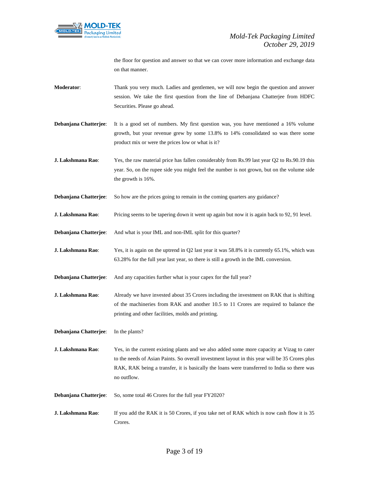

the floor for question and answer so that we can cover more information and exchange data on that manner.

- **Moderator**: Thank you very much. Ladies and gentlemen, we will now begin the question and answer session. We take the first question from the line of Debanjana Chatterjee from HDFC Securities. Please go ahead.
- **Debanjana Chatterjee**: It is a good set of numbers. My first question was, you have mentioned a 16% volume growth, but your revenue grew by some 13.8% to 14% consolidated so was there some product mix or were the prices low or what is it?
- **J. Lakshmana Rao:** Yes, the raw material price has fallen considerably from Rs.99 last year Q2 to Rs.90.19 this year. So, on the rupee side you might feel the number is not grown, but on the volume side the growth is 16%.
- **Debanjana Chatterjee:** So how are the prices going to remain in the coming quarters any guidance?
- **J. Lakshmana Rao:** Pricing seems to be tapering down it went up again but now it is again back to 92, 91 level.
- **Debanjana Chatterjee**: And what is your IML and non-IML split for this quarter?
- **J. Lakshmana Rao**: Yes, it is again on the uptrend in Q2 last year it was 58.8% it is currently 65.1%, which was 63.28% for the full year last year, so there is still a growth in the IML conversion.
- **Debanjana Chatterjee**: And any capacities further what is your capex for the full year?
- **J. Lakshmana Rao:** Already we have invested about 35 Crores including the investment on RAK that is shifting of the machineries from RAK and another 10.5 to 11 Crores are required to balance the printing and other facilities, molds and printing.

**Debanjana Chatterjee**: In the plants?

- **J. Lakshmana Rao:** Yes, in the current existing plants and we also added some more capacity at Vizag to cater to the needs of Asian Paints. So overall investment layout in this year will be 35 Crores plus RAK, RAK being a transfer, it is basically the loans were transferred to India so there was no outflow.
- **Debanjana Chatterjee:** So, some total 46 Crores for the full year FY2020?
- **J. Lakshmana Rao:** If you add the RAK it is 50 Crores, if you take net of RAK which is now cash flow it is 35 Crores.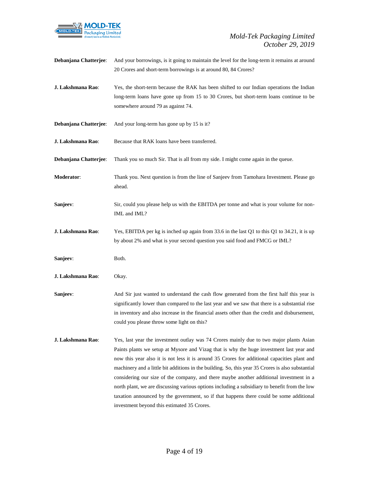

| Debanjana Chatterjee: | And your borrowings, is it going to maintain the level for the long-term it remains at around<br>20 Crores and short-term borrowings is at around 80, 84 Crores?                                                                                                                                                                                                                                                                                                                                                                                                                                                                                                                                                               |
|-----------------------|--------------------------------------------------------------------------------------------------------------------------------------------------------------------------------------------------------------------------------------------------------------------------------------------------------------------------------------------------------------------------------------------------------------------------------------------------------------------------------------------------------------------------------------------------------------------------------------------------------------------------------------------------------------------------------------------------------------------------------|
| J. Lakshmana Rao:     | Yes, the short-term because the RAK has been shifted to our Indian operations the Indian<br>long-term loans have gone up from 15 to 30 Crores, but short-term loans continue to be<br>somewhere around 79 as against 74.                                                                                                                                                                                                                                                                                                                                                                                                                                                                                                       |
| Debanjana Chatterjee: | And your long-term has gone up by 15 is it?                                                                                                                                                                                                                                                                                                                                                                                                                                                                                                                                                                                                                                                                                    |
| J. Lakshmana Rao:     | Because that RAK loans have been transferred.                                                                                                                                                                                                                                                                                                                                                                                                                                                                                                                                                                                                                                                                                  |
| Debanjana Chatterjee: | Thank you so much Sir. That is all from my side. I might come again in the queue.                                                                                                                                                                                                                                                                                                                                                                                                                                                                                                                                                                                                                                              |
| Moderator:            | Thank you. Next question is from the line of Sanjeev from Tamohara Investment. Please go<br>ahead.                                                                                                                                                                                                                                                                                                                                                                                                                                                                                                                                                                                                                             |
| Sanjeev:              | Sir, could you please help us with the EBITDA per tonne and what is your volume for non-<br>IML and IML?                                                                                                                                                                                                                                                                                                                                                                                                                                                                                                                                                                                                                       |
| J. Lakshmana Rao:     | Yes, EBITDA per kg is inched up again from 33.6 in the last Q1 to this Q1 to 34.21, it is up<br>by about 2% and what is your second question you said food and FMCG or IML?                                                                                                                                                                                                                                                                                                                                                                                                                                                                                                                                                    |
| Sanjeev:              | Both.                                                                                                                                                                                                                                                                                                                                                                                                                                                                                                                                                                                                                                                                                                                          |
| J. Lakshmana Rao:     | Okay.                                                                                                                                                                                                                                                                                                                                                                                                                                                                                                                                                                                                                                                                                                                          |
| Sanjeev:              | And Sir just wanted to understand the cash flow generated from the first half this year is<br>significantly lower than compared to the last year and we saw that there is a substantial rise<br>in inventory and also increase in the financial assets other than the credit and disbursement,<br>could you please throw some light on this?                                                                                                                                                                                                                                                                                                                                                                                   |
| J. Lakshmana Rao:     | Yes, last year the investment outlay was 74 Crores mainly due to two major plants Asian<br>Paints plants we setup at Mysore and Vizag that is why the huge investment last year and<br>now this year also it is not less it is around 35 Crores for additional capacities plant and<br>machinery and a little bit additions in the building. So, this year 35 Crores is also substantial<br>considering our size of the company, and there maybe another additional investment in a<br>north plant, we are discussing various options including a subsidiary to benefit from the low<br>taxation announced by the government, so if that happens there could be some additional<br>investment beyond this estimated 35 Crores. |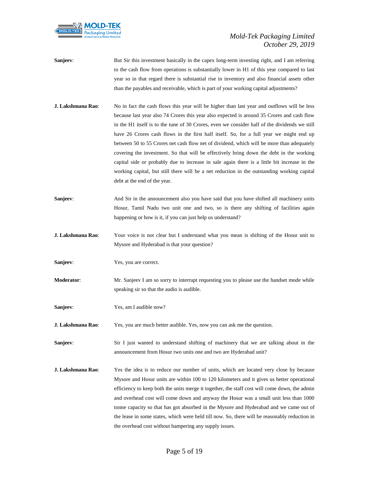

- **Sanjeev:** But Sir this investment basically in the capex long-term investing right, and I am referring to the cash flow from operations is substantially lower in H1 of this year compared to last year so in that regard there is substantial rise in inventory and also financial assets other than the payables and receivable, which is part of your working capital adjustments?
- **J. Lakshmana Rao**: No in fact the cash flows this year will be higher than last year and outflows will be less because last year also 74 Crores this year also expected is around 35 Crores and cash flow in the H1 itself is to the tune of 30 Crores, even we consider half of the dividends we still have 26 Crores cash flows in the first half itself. So, for a full year we might end up between 50 to 55 Crores net cash flow net of dividend, which will be more than adequately covering the investment. So that will be effectively bring down the debt in the working capital side or probably due to increase in sale again there is a little bit increase in the working capital, but still there will be a net reduction in the outstanding working capital debt at the end of the year.
- Sanjeev: And Sir in the announcement also you have said that you have shifted all machinery units Hosur, Tamil Nadu two unit one and two, so is there any shifting of facilities again happening or how is it, if you can just help us understand?
- **J. Lakshmana Rao**: Your voice is not clear but I understand what you mean is shifting of the Hosur unit to Mysore and Hyderabad is that your question?
- **Sanjeev**: Yes, you are correct.
- **Moderator:** Mr. Sanjeev I am so sorry to interrupt requesting you to please use the handset mode while speaking sir so that the audio is audible.
- **Sanjeev:** Yes, am I audible now?
- **J. Lakshmana Rao:** Yes, you are much better audible. Yes, now you can ask me the question.

**Sanjeev:** Sir I just wanted to understand shifting of machinery that we are talking about in the announcement from Hosur two units one and two are Hyderabad unit?

**J. Lakshmana Rao**: Yes the idea is to reduce our number of units, which are located very close by because Mysore and Hosur units are within 100 to 120 kilometers and it gives us better operational efficiency to keep both the units merge it together, the staff cost will come down, the admin and overhead cost will come down and anyway the Hosur was a small unit less than 1000 tonne capacity so that has got absorbed in the Mysore and Hyderabad and we came out of the lease in some states, which were held till now. So, there will be reasonably reduction in the overhead cost without hampering any supply issues.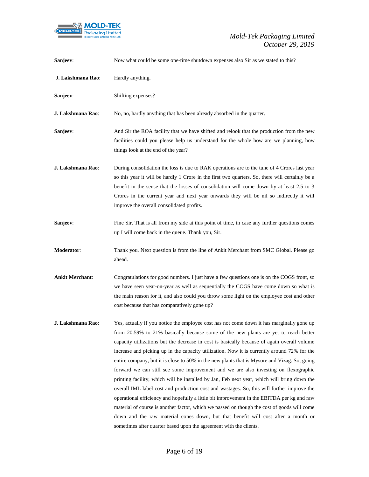

| Sanjeev:               | Now what could be some one-time shutdown expenses also Sir as we stated to this?                                                                                                                                                                                                                                                                                                                                                                                                                                                                                                                                                                                                                                                                                                                                                                                                                                                                                                                                                                                                                                           |
|------------------------|----------------------------------------------------------------------------------------------------------------------------------------------------------------------------------------------------------------------------------------------------------------------------------------------------------------------------------------------------------------------------------------------------------------------------------------------------------------------------------------------------------------------------------------------------------------------------------------------------------------------------------------------------------------------------------------------------------------------------------------------------------------------------------------------------------------------------------------------------------------------------------------------------------------------------------------------------------------------------------------------------------------------------------------------------------------------------------------------------------------------------|
| J. Lakshmana Rao:      | Hardly anything.                                                                                                                                                                                                                                                                                                                                                                                                                                                                                                                                                                                                                                                                                                                                                                                                                                                                                                                                                                                                                                                                                                           |
| Sanjeev:               | Shifting expenses?                                                                                                                                                                                                                                                                                                                                                                                                                                                                                                                                                                                                                                                                                                                                                                                                                                                                                                                                                                                                                                                                                                         |
| J. Lakshmana Rao:      | No, no, hardly anything that has been already absorbed in the quarter.                                                                                                                                                                                                                                                                                                                                                                                                                                                                                                                                                                                                                                                                                                                                                                                                                                                                                                                                                                                                                                                     |
| Sanjeev:               | And Sir the ROA facility that we have shifted and relook that the production from the new<br>facilities could you please help us understand for the whole how are we planning, how<br>things look at the end of the year?                                                                                                                                                                                                                                                                                                                                                                                                                                                                                                                                                                                                                                                                                                                                                                                                                                                                                                  |
| J. Lakshmana Rao:      | During consolidation the loss is due to RAK operations are to the tune of 4 Crores last year<br>so this year it will be hardly 1 Crore in the first two quarters. So, there will certainly be a<br>benefit in the sense that the losses of consolidation will come down by at least 2.5 to 3<br>Crores in the current year and next year onwards they will be nil so indirectly it will<br>improve the overall consolidated profits.                                                                                                                                                                                                                                                                                                                                                                                                                                                                                                                                                                                                                                                                                       |
| Sanjeev:               | Fine Sir. That is all from my side at this point of time, in case any further questions comes<br>up I will come back in the queue. Thank you, Sir.                                                                                                                                                                                                                                                                                                                                                                                                                                                                                                                                                                                                                                                                                                                                                                                                                                                                                                                                                                         |
| Moderator:             | Thank you. Next question is from the line of Ankit Merchant from SMC Global. Please go<br>ahead.                                                                                                                                                                                                                                                                                                                                                                                                                                                                                                                                                                                                                                                                                                                                                                                                                                                                                                                                                                                                                           |
| <b>Ankit Merchant:</b> | Congratulations for good numbers. I just have a few questions one is on the COGS front, so<br>we have seen year-on-year as well as sequentially the COGS have come down so what is<br>the main reason for it, and also could you throw some light on the employee cost and other<br>cost because that has comparatively gone up?                                                                                                                                                                                                                                                                                                                                                                                                                                                                                                                                                                                                                                                                                                                                                                                           |
| J. Lakshmana Rao:      | Yes, actually if you notice the employee cost has not come down it has marginally gone up<br>from 20.59% to 21% basically because some of the new plants are yet to reach better<br>capacity utilizations but the decrease in cost is basically because of again overall volume<br>increase and picking up in the capacity utilization. Now it is currently around 72% for the<br>entire company, but it is close to 50% in the new plants that is Mysore and Vizag. So, going<br>forward we can still see some improvement and we are also investing on flexographic<br>printing facility, which will be installed by Jan, Feb next year, which will bring down the<br>overall IML label cost and production cost and wastages. So, this will further improve the<br>operational efficiency and hopefully a little bit improvement in the EBITDA per kg and raw<br>material of course is another factor, which we passed on though the cost of goods will come<br>down and the raw material cones down, but that benefit will cost after a month or<br>sometimes after quarter based upon the agreement with the clients. |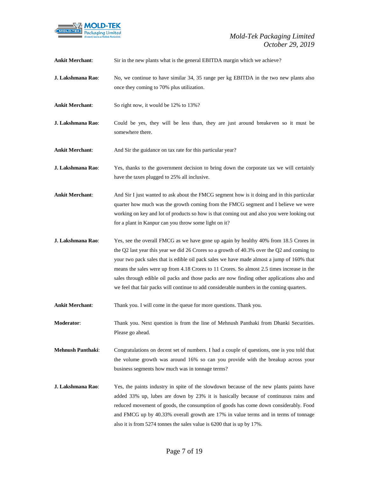

| <b>Ankit Merchant:</b>   | Sir in the new plants what is the general EBITDA margin which we achieve?                                                                                                                                                                                                                                                                                                                                                                                                                                                                                                    |
|--------------------------|------------------------------------------------------------------------------------------------------------------------------------------------------------------------------------------------------------------------------------------------------------------------------------------------------------------------------------------------------------------------------------------------------------------------------------------------------------------------------------------------------------------------------------------------------------------------------|
| J. Lakshmana Rao:        | No, we continue to have similar 34, 35 range per kg EBITDA in the two new plants also<br>once they coming to 70% plus utilization.                                                                                                                                                                                                                                                                                                                                                                                                                                           |
| <b>Ankit Merchant:</b>   | So right now, it would be 12% to 13%?                                                                                                                                                                                                                                                                                                                                                                                                                                                                                                                                        |
| J. Lakshmana Rao:        | Could be yes, they will be less than, they are just around breakeven so it must be<br>somewhere there.                                                                                                                                                                                                                                                                                                                                                                                                                                                                       |
| <b>Ankit Merchant:</b>   | And Sir the guidance on tax rate for this particular year?                                                                                                                                                                                                                                                                                                                                                                                                                                                                                                                   |
| J. Lakshmana Rao:        | Yes, thanks to the government decision to bring down the corporate tax we will certainly<br>have the taxes plugged to 25% all inclusive.                                                                                                                                                                                                                                                                                                                                                                                                                                     |
| <b>Ankit Merchant:</b>   | And Sir I just wanted to ask about the FMCG segment how is it doing and in this particular<br>quarter how much was the growth coming from the FMCG segment and I believe we were<br>working on key and lot of products so how is that coming out and also you were looking out<br>for a plant in Kanpur can you throw some light on it?                                                                                                                                                                                                                                      |
| J. Lakshmana Rao:        | Yes, see the overall FMCG as we have gone up again by healthy 40% from 18.5 Crores in<br>the Q2 last year this year we did 26 Crores so a growth of $40.3\%$ over the Q2 and coming to<br>your two pack sales that is edible oil pack sales we have made almost a jump of 160% that<br>means the sales were up from 4.18 Crores to 11 Crores. So almost 2.5 times increase in the<br>sales through edible oil packs and those packs are now finding other applications also and<br>we feel that fair packs will continue to add considerable numbers in the coming quarters. |
| <b>Ankit Merchant:</b>   | Thank you. I will come in the queue for more questions. Thank you.                                                                                                                                                                                                                                                                                                                                                                                                                                                                                                           |
| Moderator:               | Thank you. Next question is from the line of Mehnush Panthaki from Dhanki Securities.<br>Please go ahead.                                                                                                                                                                                                                                                                                                                                                                                                                                                                    |
| <b>Mehnush Panthaki:</b> | Congratulations on decent set of numbers. I had a couple of questions, one is you told that<br>the volume growth was around 16% so can you provide with the breakup across your<br>business segments how much was in tonnage terms?                                                                                                                                                                                                                                                                                                                                          |
| J. Lakshmana Rao:        | Yes, the paints industry in spite of the slowdown because of the new plants paints have<br>added 33% up, lubes are down by 23% it is basically because of continuous rains and<br>reduced movement of goods, the consumption of goods has come down considerably. Food<br>and FMCG up by 40.33% overall growth are 17% in value terms and in terms of tonnage<br>also it is from 5274 tonnes the sales value is 6200 that is up by 17%.                                                                                                                                      |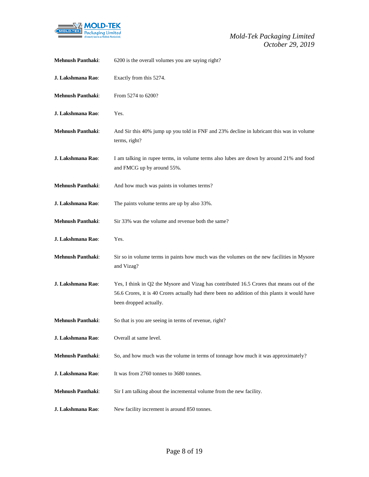

| <b>Mehnush Panthaki:</b> | 6200 is the overall volumes you are saying right?                                                                                                                                                                    |
|--------------------------|----------------------------------------------------------------------------------------------------------------------------------------------------------------------------------------------------------------------|
| J. Lakshmana Rao:        | Exactly from this 5274.                                                                                                                                                                                              |
| <b>Mehnush Panthaki:</b> | From 5274 to 6200?                                                                                                                                                                                                   |
| J. Lakshmana Rao:        | Yes.                                                                                                                                                                                                                 |
| <b>Mehnush Panthaki:</b> | And Sir this 40% jump up you told in FNF and 23% decline in lubricant this was in volume<br>terms, right?                                                                                                            |
| J. Lakshmana Rao:        | I am talking in rupee terms, in volume terms also lubes are down by around 21% and food<br>and FMCG up by around 55%.                                                                                                |
| <b>Mehnush Panthaki:</b> | And how much was paints in volumes terms?                                                                                                                                                                            |
| J. Lakshmana Rao:        | The paints volume terms are up by also 33%.                                                                                                                                                                          |
| <b>Mehnush Panthaki:</b> | Sir 33% was the volume and revenue both the same?                                                                                                                                                                    |
| J. Lakshmana Rao:        | Yes.                                                                                                                                                                                                                 |
| Mehnush Panthaki:        | Sir so in volume terms in paints how much was the volumes on the new facilities in Mysore<br>and Vizag?                                                                                                              |
| J. Lakshmana Rao:        | Yes, I think in Q2 the Mysore and Vizag has contributed 16.5 Crores that means out of the<br>56.6 Crores, it is 40 Crores actually had there been no addition of this plants it would have<br>been dropped actually. |
| <b>Mehnush Panthaki:</b> | So that is you are seeing in terms of revenue, right?                                                                                                                                                                |
| J. Lakshmana Rao:        | Overall at same level.                                                                                                                                                                                               |
| <b>Mehnush Panthaki:</b> | So, and how much was the volume in terms of tonnage how much it was approximately?                                                                                                                                   |
| J. Lakshmana Rao:        | It was from 2760 tonnes to 3680 tonnes.                                                                                                                                                                              |
| <b>Mehnush Panthaki:</b> | Sir I am talking about the incremental volume from the new facility.                                                                                                                                                 |
| J. Lakshmana Rao:        | New facility increment is around 850 tonnes.                                                                                                                                                                         |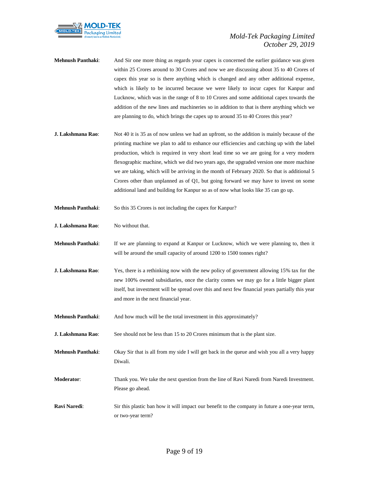

- **Mehnush Panthaki**: And Sir one more thing as regards your capex is concerned the earlier guidance was given within 25 Crores around to 30 Crores and now we are discussing about 35 to 40 Crores of capex this year so is there anything which is changed and any other additional expense, which is likely to be incurred because we were likely to incur capex for Kanpur and Lucknow, which was in the range of 8 to 10 Crores and some additional capex towards the addition of the new lines and machineries so in addition to that is there anything which we are planning to do, which brings the capex up to around 35 to 40 Crores this year?
- **J. Lakshmana Rao:** Not 40 it is 35 as of now unless we had an upfront, so the addition is mainly because of the printing machine we plan to add to enhance our efficiencies and catching up with the label production, which is required in very short lead time so we are going for a very modern flexographic machine, which we did two years ago, the upgraded version one more machine we are taking, which will be arriving in the month of February 2020. So that is additional 5 Crores other than unplanned as of Q1, but going forward we may have to invest on some additional land and building for Kanpur so as of now what looks like 35 can go up.
- **Mehnush Panthaki:** So this 35 Crores is not including the capex for Kanpur?
- **J. Lakshmana Rao:** No without that.
- **Mehnush Panthaki**: If we are planning to expand at Kanpur or Lucknow, which we were planning to, then it will be around the small capacity of around 1200 to 1500 tonnes right?
- **J. Lakshmana Rao**: Yes, there is a rethinking now with the new policy of government allowing 15% tax for the new 100% owned subsidiaries, once the clarity comes we may go for a little bigger plant itself, but investment will be spread over this and next few financial years partially this year and more in the next financial year.
- **Mehnush Panthaki**: And how much will be the total investment in this approximately?
- **J. Lakshmana Rao:** See should not be less than 15 to 20 Crores minimum that is the plant size.
- **Mehnush Panthaki**: Okay Sir that is all from my side I will get back in the queue and wish you all a very happy Diwali.
- **Moderator**: Thank you. We take the next question from the line of Ravi Naredi from Naredi Investment. Please go ahead.
- **Ravi Naredi**: Sir this plastic ban how it will impact our benefit to the company in future a one-year term, or two-year term?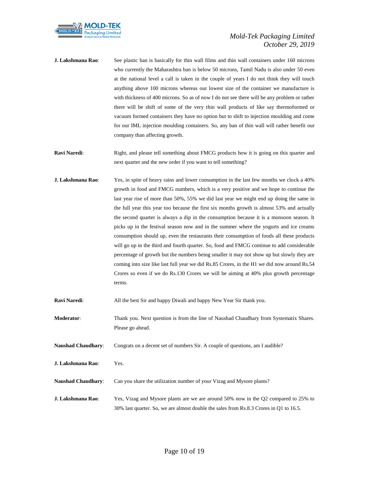

- **J. Lakshmana Rao**: See plastic ban is basically for thin wall films and thin wall containers under 160 microns who currently the Maharashtra ban is below 50 microns, Tamil Nadu is also under 50 even at the national level a call is taken in the couple of years I do not think they will touch anything above 100 microns whereas our lowest size of the container we manufacture is with thickness of 400 microns. So as of now I do not see there will be any problem or rather there will be shift of some of the very thin wall products of like say thermoformed or vacuum formed containers they have no option but to shift to injection moulding and come for our IML injection moulding containers. So, any ban of thin wall will rather benefit our company than affecting growth.
- **Ravi Naredi:** Right, and please tell something about FMCG products how it is going on this quarter and next quarter and the new order if you want to tell something?
- **J. Lakshmana Rao:** Yes, in spite of heavy rains and lower consumption in the last few months we clock a 40% growth in food and FMCG numbers, which is a very positive and we hope to continue the last year rise of more than 50%, 55% we did last year we might end up doing the same in the full year this year too because the first six months growth is almost 53% and actually the second quarter is always a dip in the consumption because it is a monsoon season. It picks up in the festival season now and in the summer where the yogurts and ice creams consumption should up, even the restaurants their consumption of foods all these products will go up in the third and fourth quarter. So, food and FMCG continue to add considerable percentage of growth but the numbers being smaller it may not show up but slowly they are coming into size like last full year we did Rs.85 Crores, in the H1 we did now around Rs.54 Crores so even if we do Rs.130 Crores we will be aiming at 40% plus growth percentage terms.

| <b>Ravi Naredi:</b>       | All the best Sir and happy Diwali and happy New Year Sir thank you.                                        |
|---------------------------|------------------------------------------------------------------------------------------------------------|
| <b>Moderator:</b>         | Thank you. Next question is from the line of Naushad Chaudhary from Systematix Shares.<br>Please go ahead. |
| <b>Naushad Chaudhary:</b> | Congrats on a decent set of numbers Sir. A couple of questions, am I audible?                              |
| J. Lakshmana Rao:         | Yes.                                                                                                       |
| <b>Naushad Chaudhary:</b> | Can you share the utilization number of your Vizag and Mysore plants?                                      |
| J. Lakshmana Rao:         | Yes, Vizag and Mysore plants are we are around 50% now in the Q2 compared to 25% to                        |

30% last quarter. So, we are almost double the sales from Rs.8.3 Crores in Q1 to 16.5.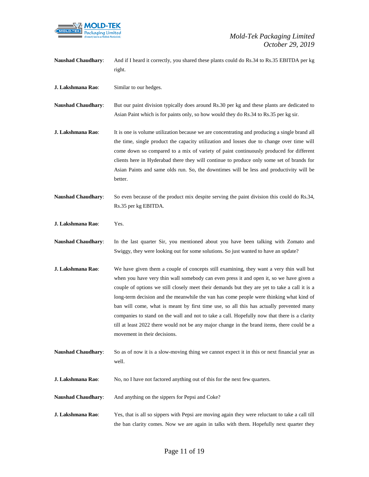

**Naushad Chaudhary**: And if I heard it correctly, you shared these plants could do Rs.34 to Rs.35 EBITDA per kg right. **J. Lakshmana Rao**: Similar to our hedges. **Naushad Chaudhary**: But our paint division typically does around Rs.30 per kg and these plants are dedicated to Asian Paint which is for paints only, so how would they do Rs.34 to Rs.35 per kg sir. **J. Lakshmana Rao:** It is one is volume utilization because we are concentrating and producing a single brand all the time, single product the capacity utilization and losses due to change over time will come down so compared to a mix of variety of paint continuously produced for different clients here in Hyderabad there they will continue to produce only some set of brands for Asian Paints and same olds run. So, the downtimes will be less and productivity will be better. **Naushad Chaudhary**: So even because of the product mix despite serving the paint division this could do Rs.34, Rs.35 per kg EBITDA. **J. Lakshmana Rao**: Yes. **Naushad Chaudhary**: In the last quarter Sir, you mentioned about you have been talking with Zomato and Swiggy, they were looking out for some solutions. So just wanted to have an update? **J. Lakshmana Rao:** We have given them a couple of concepts still examining, they want a very thin wall but when you have very thin wall somebody can even press it and open it, so we have given a couple of options we still closely meet their demands but they are yet to take a call it is a long-term decision and the meanwhile the van has come people were thinking what kind of ban will come, what is meant by first time use, so all this has actually prevented many companies to stand on the wall and not to take a call. Hopefully now that there is a clarity till at least 2022 there would not be any major change in the brand items, there could be a movement in their decisions. **Naushad Chaudhary**: So as of now it is a slow-moving thing we cannot expect it in this or next financial year as well. **J. Lakshmana Rao:** No, no I have not factored anything out of this for the next few quarters. **Naushad Chaudhary**: And anything on the sippers for Pepsi and Coke? **J. Lakshmana Rao**: Yes, that is all so sippers with Pepsi are moving again they were reluctant to take a call till

the ban clarity comes. Now we are again in talks with them. Hopefully next quarter they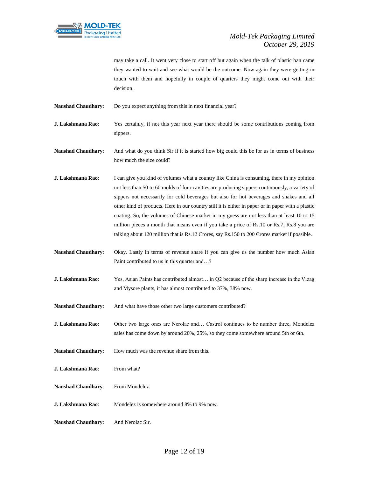

may take a call. It went very close to start off but again when the talk of plastic ban came they wanted to wait and see what would be the outcome. Now again they were getting in touch with them and hopefully in couple of quarters they might come out with their decision.

**Naushad Chaudhary**: Do you expect anything from this in next financial year?

**J. Lakshmana Rao:** Yes certainly, if not this year next year there should be some contributions coming from sippers.

**Naushad Chaudhary**: And what do you think Sir if it is started how big could this be for us in terms of business how much the size could?

**J. Lakshmana Rao:** I can give you kind of volumes what a country like China is consuming, there in my opinion not less than 50 to 60 molds of four cavities are producing sippers continuously, a variety of sippers not necessarily for cold beverages but also for hot beverages and shakes and all other kind of products. Here in our country still it is either in paper or in paper with a plastic coating. So, the volumes of Chinese market in my guess are not less than at least 10 to 15 million pieces a month that means even if you take a price of Rs.10 or Rs.7, Rs.8 you are talking about 120 million that is Rs.12 Crores, say Rs.150 to 200 Crores market if possible.

**Naushad Chaudhary**: Okay. Lastly in terms of revenue share if you can give us the number how much Asian Paint contributed to us in this quarter and…?

**J. Lakshmana Rao**: Yes, Asian Paints has contributed almost… in Q2 because of the sharp increase in the Vizag and Mysore plants, it has almost contributed to 37%, 38% now.

**Naushad Chaudhary**: And what have those other two large customers contributed?

**J. Lakshmana Rao**: Other two large ones are Nerolac and… Castrol continues to be number three, Mondelez sales has come down by around 20%, 25%, so they come somewhere around 5th or 6th.

Naushad Chaudhary: How much was the revenue share from this.

**J. Lakshmana Rao:** From what?

Naushad Chaudhary: From Mondelez.

**J. Lakshmana Rao:** Mondelez is somewhere around 8% to 9% now.

**Naushad Chaudhary**: And Nerolac Sir.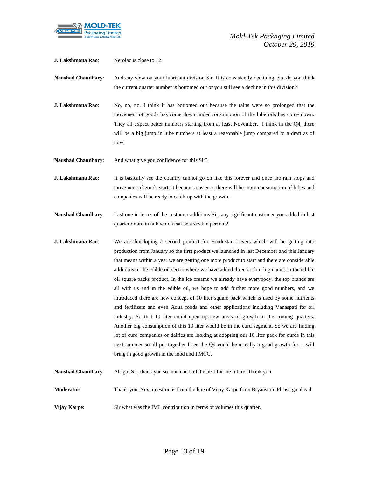

**J. Lakshmana Rao**: Nerolac is close to 12.

**Naushad Chaudhary**: And any view on your lubricant division Sir. It is consistently declining. So, do you think the current quarter number is bottomed out or you still see a decline in this division?

**J. Lakshmana Rao**: No, no, no. I think it has bottomed out because the rains were so prolonged that the movement of goods has come down under consumption of the lube oils has come down. They all expect better numbers starting from at least November. I think in the Q4, there will be a big jump in lube numbers at least a reasonable jump compared to a draft as of now.

**Naushad Chaudhary:** And what give you confidence for this Sir?

**J. Lakshmana Rao:** It is basically see the country cannot go on like this forever and once the rain stops and movement of goods start, it becomes easier to there will be more consumption of lubes and companies will be ready to catch-up with the growth.

**Naushad Chaudhary**: Last one in terms of the customer additions Sir, any significant customer you added in last quarter or are in talk which can be a sizable percent?

- **J. Lakshmana Rao:** We are developing a second product for Hindustan Levers which will be getting into production from January so the first product we launched in last December and this January that means within a year we are getting one more product to start and there are considerable additions in the edible oil sector where we have added three or four big names in the edible oil square packs product. In the ice creams we already have everybody, the top brands are all with us and in the edible oil, we hope to add further more good numbers, and we introduced there are new concept of 10 liter square pack which is used by some nutrients and fertilizers and even Aqua foods and other applications including Vanaspati for oil industry. So that 10 liter could open up new areas of growth in the coming quarters. Another big consumption of this 10 liter would be in the curd segment. So we are finding lot of curd companies or dairies are looking at adopting our 10 liter pack for curds in this next summer so all put together I see the Q4 could be a really a good growth for… will bring in good growth in the food and FMCG.
- **Naushad Chaudhary**: Alright Sir, thank you so much and all the best for the future. Thank you.

**Moderator**: Thank you. Next question is from the line of Vijay Karpe from Bryanston. Please go ahead.

**Vijay Karpe:** Sir what was the IML contribution in terms of volumes this quarter.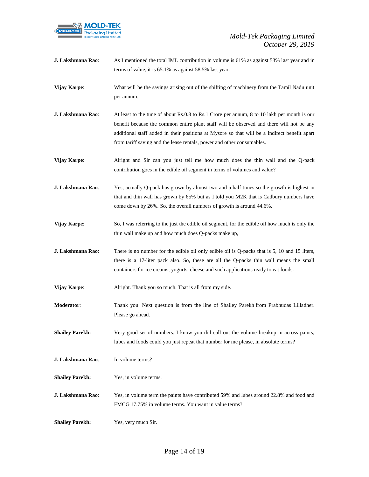

| J. Lakshmana Rao:      | As I mentioned the total IML contribution in volume is 61% as against 53% last year and in<br>terms of value, it is 65.1% as against 58.5% last year.                                                                                                                                                                                                             |
|------------------------|-------------------------------------------------------------------------------------------------------------------------------------------------------------------------------------------------------------------------------------------------------------------------------------------------------------------------------------------------------------------|
| Vijay Karpe:           | What will be the savings arising out of the shifting of machinery from the Tamil Nadu unit<br>per annum.                                                                                                                                                                                                                                                          |
| J. Lakshmana Rao:      | At least to the tune of about Rs.0.8 to Rs.1 Crore per annum, 8 to 10 lakh per month is our<br>benefit because the common entire plant staff will be observed and there will not be any<br>additional staff added in their positions at Mysore so that will be a indirect benefit apart<br>from tariff saving and the lease rentals, power and other consumables. |
| Vijay Karpe:           | Alright and Sir can you just tell me how much does the thin wall and the Q-pack<br>contribution goes in the edible oil segment in terms of volumes and value?                                                                                                                                                                                                     |
| J. Lakshmana Rao:      | Yes, actually Q-pack has grown by almost two and a half times so the growth is highest in<br>that and thin wall has grown by 65% but as I told you M2K that is Cadbury numbers have<br>come down by 26%. So, the overall numbers of growth is around 44.6%.                                                                                                       |
| Vijay Karpe:           | So, I was referring to the just the edible oil segment, for the edible oil how much is only the<br>thin wall make up and how much does Q-packs make up,                                                                                                                                                                                                           |
| J. Lakshmana Rao:      | There is no number for the edible oil only edible oil is Q-packs that is 5, 10 and 15 liters,<br>there is a 17-liter pack also. So, these are all the Q-packs thin wall means the small<br>containers for ice creams, yogurts, cheese and such applications ready to eat foods.                                                                                   |
| <b>Vijay Karpe:</b>    | Alright. Thank you so much. That is all from my side.                                                                                                                                                                                                                                                                                                             |
| <b>Moderator:</b>      | Thank you. Next question is from the line of Shailey Parekh from Prabhudas Lilladher.<br>Please go ahead.                                                                                                                                                                                                                                                         |
| <b>Shailey Parekh:</b> | Very good set of numbers. I know you did call out the volume breakup in across paints,<br>lubes and foods could you just repeat that number for me please, in absolute terms?                                                                                                                                                                                     |
| J. Lakshmana Rao:      | In volume terms?                                                                                                                                                                                                                                                                                                                                                  |
| <b>Shailey Parekh:</b> | Yes, in volume terms.                                                                                                                                                                                                                                                                                                                                             |
| J. Lakshmana Rao:      | Yes, in volume term the paints have contributed 59% and lubes around 22.8% and food and<br>FMCG 17.75% in volume terms. You want in value terms?                                                                                                                                                                                                                  |
| <b>Shailey Parekh:</b> | Yes, very much Sir.                                                                                                                                                                                                                                                                                                                                               |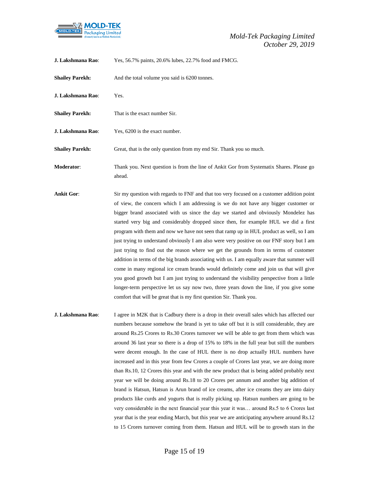

| J. Lakshmana Rao:      | Yes, 56.7% paints, 20.6% lubes, 22.7% food and FMCG.                                                                                                                              |
|------------------------|-----------------------------------------------------------------------------------------------------------------------------------------------------------------------------------|
| <b>Shailey Parekh:</b> | And the total volume you said is 6200 tonnes.                                                                                                                                     |
| J. Lakshmana Rao:      | Yes.                                                                                                                                                                              |
| <b>Shailey Parekh:</b> | That is the exact number Sir.                                                                                                                                                     |
| J. Lakshmana Rao:      | Yes, 6200 is the exact number.                                                                                                                                                    |
| <b>Shailey Parekh:</b> | Great, that is the only question from my end Sir. Thank you so much.                                                                                                              |
| <b>Moderator:</b>      | Thank you. Next question is from the line of Ankit Gor from Systematix Shares. Please go<br>ahead.                                                                                |
| <b>Ankit Gor:</b>      | Sir my question with regards to FNF and that too very focused on a customer addition point<br>of view, the concern which I am addressing is we do not have any bigger customer or |

bigger brand associated with us since the day we started and obviously Mondelez has started very big and considerably dropped since then, for example HUL we did a first program with them and now we have not seen that ramp up in HUL product as well, so I am just trying to understand obviously I am also were very positive on our FNF story but I am just trying to find out the reason where we get the grounds from in terms of customer addition in terms of the big brands associating with us. I am equally aware that summer will come in many regional ice cream brands would definitely come and join us that will give you good growth but I am just trying to understand the visibility perspective from a little longer-term perspective let us say now two, three years down the line, if you give some comfort that will be great that is my first question Sir. Thank you.

**J. Lakshmana Rao:** I agree in M2K that is Cadbury there is a drop in their overall sales which has affected our numbers because somehow the brand is yet to take off but it is still considerable, they are around Rs.25 Crores to Rs.30 Crores turnover we will be able to get from them which was around 36 last year so there is a drop of 15% to 18% in the full year but still the numbers were decent enough. In the case of HUL there is no drop actually HUL numbers have increased and in this year from few Crores a couple of Crores last year, we are doing more than Rs.10, 12 Crores this year and with the new product that is being added probably next year we will be doing around Rs.18 to 20 Crores per annum and another big addition of brand is Hatsun, Hatsun is Arun brand of ice creams, after ice creams they are into dairy products like curds and yogurts that is really picking up. Hatsun numbers are going to be very considerable in the next financial year this year it was… around Rs.5 to 6 Crores last year that is the year ending March, but this year we are anticipating anywhere around Rs.12 to 15 Crores turnover coming from them. Hatsun and HUL will be to growth stars in the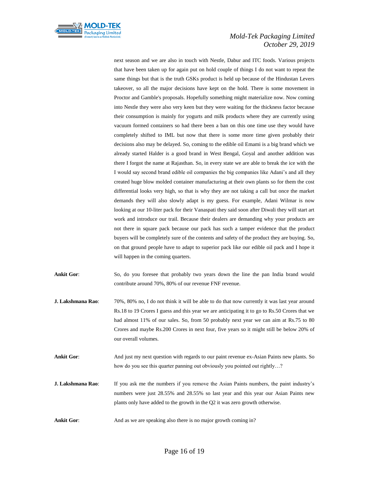

next season and we are also in touch with Nestle, Dabur and ITC foods. Various projects that have been taken up for again put on hold couple of things I do not want to repeat the same things but that is the truth GSKs product is held up because of the Hindustan Levers takeover, so all the major decisions have kept on the hold. There is some movement in Proctor and Gamble's proposals. Hopefully something might materialize now. Now coming into Nestle they were also very keen but they were waiting for the thickness factor because their consumption is mainly for yogurts and milk products where they are currently using vacuum formed containers so had there been a ban on this one time use they would have completely shifted to IML but now that there is some more time given probably their decisions also may be delayed. So, coming to the edible oil Emami is a big brand which we already started Halder is a good brand in West Bengal, Goyal and another addition was there I forgot the name at Rajasthan. So, in every state we are able to break the ice with the I would say second brand edible oil companies the big companies like Adani's and all they created huge blow molded container manufacturing at their own plants so for them the cost differential looks very high, so that is why they are not taking a call but once the market demands they will also slowly adapt is my guess. For example, Adani Wilmar is now looking at our 10-liter pack for their Vanaspati they said soon after Diwali they will start art work and introduce our trail. Because their dealers are demanding why your products are not there in square pack because our pack has such a tamper evidence that the product buyers will be completely sure of the contents and safety of the product they are buying. So, on that ground people have to adapt to superior pack like our edible oil pack and I hope it will happen in the coming quarters.

**Ankit Gor**: So, do you foresee that probably two years down the line the pan India brand would contribute around 70%, 80% of our revenue FNF revenue.

- **J. Lakshmana Rao:** 70%, 80% no, I do not think it will be able to do that now currently it was last year around Rs.18 to 19 Crores I guess and this year we are anticipating it to go to Rs.50 Crores that we had almost 11% of our sales. So, from 50 probably next year we can aim at Rs.75 to 80 Crores and maybe Rs.200 Crores in next four, five years so it might still be below 20% of our overall volumes.
- **Ankit Gor**: And just my next question with regards to our paint revenue ex-Asian Paints new plants. So how do you see this quarter panning out obviously you pointed out rightly…?
- **J. Lakshmana Rao:** If you ask me the numbers if you remove the Asian Paints numbers, the paint industry's numbers were just 28.55% and 28.55% so last year and this year our Asian Paints new plants only have added to the growth in the Q2 it was zero growth otherwise.
- **Ankit Gor:** And as we are speaking also there is no major growth coming in?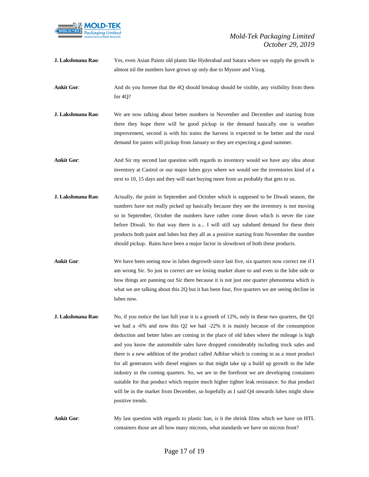

**J. Lakshmana Rao**: Yes, even Asian Paints old plants like Hyderabad and Satara where we supply the growth is almost nil the numbers have grown up only due to Mysore and Vizag.

**Ankit Gor:** And do you foresee that the 4Q should breakup should be visible, any visibility from them for 4Q?

**J. Lakshmana Rao:** We are now talking about better numbers in November and December and starting from there they hope there will be good pickup in the demand basically one is weather improvement, second is with his trains the harvest is expected to be better and the rural demand for paints will pickup from January so they are expecting a good summer.

**Ankit Gor:** And Sir my second last question with regards to inventory would we have any idea about inventory at Castrol or our major lubes guys where we would see the inventories kind of a next to 10, 15 days and they will start buying more from us probably that gets to us.

- **J. Lakshmana Rao:** Actually, the point in September and October which is supposed to be Diwali season, the numbers have not really picked up basically because they see the inventory is not moving so in September, October the numbers have rather come down which is never the case before Diwali. So that way there is a... I will still say subdued demand for these their products both paint and lubes but they all as a positive starting from November the number should pickup. Rains have been a major factor in slowdown of both these products.
- **Ankit Gor:** We have been seeing now in lubes degrowth since last five, six quarters now correct me if I am wrong Sir. So just to correct are we losing market share to and even in the lube side or how things are panning out Sir there because it is not just one quarter phenomena which is what we are talking about this 2Q but it has been four, five quarters we are seeing decline in lubes now.
- **J. Lakshmana Rao**: No, if you notice the last full year it is a growth of 12%, only in these two quarters, the Q1 we had a -6% and now this Q2 we had -22% it is mainly because of the consumption deduction and better lubes are coming in the place of old lubes where the mileage is high and you know the automobile sales have dropped considerably including truck sales and there is a new addition of the product called Adblue which is coming in as a must product for all generators with diesel engines so that might take up a build up growth in the lube industry in the coming quarters. So, we are in the forefront we are developing containers suitable for that product which require much higher tighter leak resistance. So that product will be in the market from December, so hopefully as I said Q4 onwards lubes might show positive trends.

**Ankit Gor:** My last question with regards to plastic ban, is it the shrink films which we have on HTL containers those are all how many microns, what standards we have on micron front?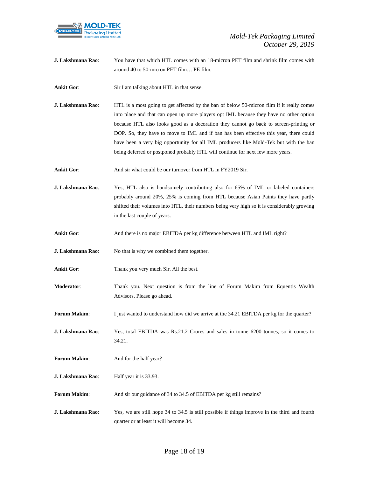

**J. Lakshmana Rao**: You have that which HTL comes with an 18-micron PET film and shrink film comes with around 40 to 50-micron PET film… PE film.

**Ankit Gor:** Sir I am talking about HTL in that sense.

- **J. Lakshmana Rao**: HTL is a most going to get affected by the ban of below 50-micron film if it really comes into place and that can open up more players opt IML because they have no other option because HTL also looks good as a decoration they cannot go back to screen-printing or DOP. So, they have to move to IML and if ban has been effective this year, there could have been a very big opportunity for all IML producers like Mold-Tek but with the ban being deferred or postponed probably HTL will continue for next few more years.
- Ankit Gor: And sir what could be our turnover from HTL in FY2019 Sir.
- **J. Lakshmana Rao**: Yes, HTL also is handsomely contributing also for 65% of IML or labeled containers probably around 20%, 25% is coming from HTL because Asian Paints they have partly shifted their volumes into HTL, their numbers being very high so it is considerably growing in the last couple of years.
- **Ankit Gor**: And there is no major EBITDA per kg difference between HTL and IML right?
- **J. Lakshmana Rao:** No that is why we combined them together.
- **Ankit Gor**: Thank you very much Sir. All the best.
- **Moderator**: Thank you. Next question is from the line of Forum Makim from Equentis Wealth Advisors. Please go ahead.
- **Forum Makim:** I just wanted to understand how did we arrive at the 34.21 EBITDA per kg for the quarter?
- **J. Lakshmana Rao**: Yes, total EBITDA was Rs.21.2 Crores and sales in tonne 6200 tonnes, so it comes to 34.21.
- **Forum Makim:** And for the half year?
- **J. Lakshmana Rao:** Half year it is 33.93.
- Forum Makim: And sir our guidance of 34 to 34.5 of EBITDA per kg still remains?
- **J. Lakshmana Rao**: Yes, we are still hope 34 to 34.5 is still possible if things improve in the third and fourth quarter or at least it will become 34.